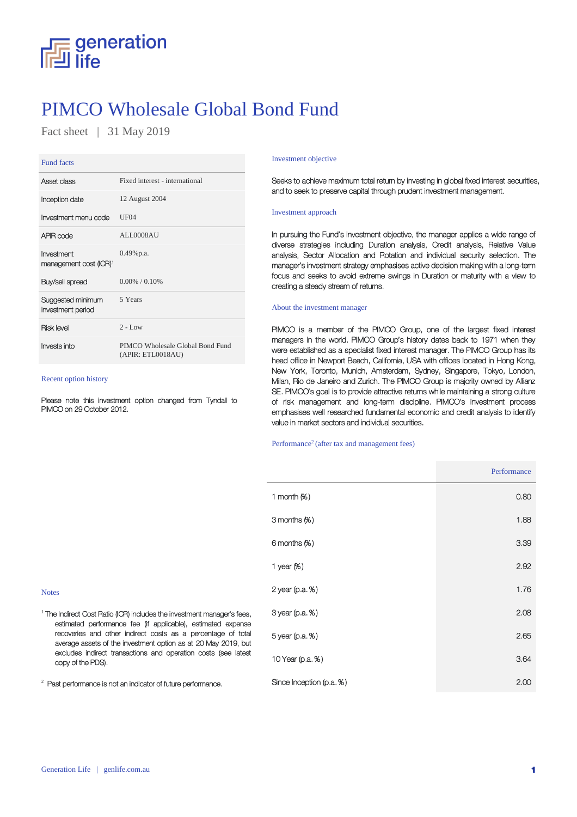

## PIMCO Wholesale Global Bond Fund

Fact sheet | 31 May 2019

#### Fund facts

| Asset class                                      | Fixed interest - international                        |
|--------------------------------------------------|-------------------------------------------------------|
| Inception date                                   | 12 August 2004                                        |
| Investment menu code                             | UF <sub>04</sub>                                      |
| APIR code                                        | ALL0008AU                                             |
| Investment<br>management cost (ICR) <sup>1</sup> | $0.49\%$ p.a.                                         |
| Buy/sell spread                                  | $0.00\%$ / 0.10%                                      |
| Suggested minimum<br>investment period           | 5 Years                                               |
| <b>Risk level</b>                                | $2 - Low$                                             |
| Invests into                                     | PIMCO Wholesale Global Bond Fund<br>(APIR: ETL0018AU) |

## Recent option history

2

Please note this investment option changed from Tyndall to PIMCO on 29 October 2012.

#### Investment objective

Seeks to achieve maximum total return by investing in global fixed interest securities, and to seek to preserve capital through prudent investment management.

#### Investment approach

In pursuing the Fund's investment objective, the manager applies a wide range of diverse strategies including Duration analysis, Credit analysis, Relative Value analysis, Sector Allocation and Rotation and individual security selection. The manager's investment strategy emphasises active decision making with a long-term focus and seeks to avoid extreme swings in Duration or maturity with a view to creating a steady stream of returns.

#### About the investment manager

PIMCO is a member of the PIMCO Group, one of the largest fixed interest managers in the world. PIMCO Group's history dates back to 1971 when they were established as a specialist fixed interest manager. The PIMCO Group has its head office in Newport Beach, California, USA with offices located in Hong Kong, New York, Toronto, Munich, Amsterdam, Sydney, Singapore, Tokyo, London, Milan, Rio de Janeiro and Zurich. The PIMCO Group is majority owned by Allianz SE. PIMCO's goal is to provide attractive returns while maintaining a strong culture of risk management and long-term discipline. PIMCO's investment process emphasises well researched fundamental economic and credit analysis to identify value in market sectors and individual securities.

#### Performance<sup>2</sup> (after tax and management fees)

|                                                                                                                                                                                                                                                                                                                                                                     |                          | Performance |
|---------------------------------------------------------------------------------------------------------------------------------------------------------------------------------------------------------------------------------------------------------------------------------------------------------------------------------------------------------------------|--------------------------|-------------|
|                                                                                                                                                                                                                                                                                                                                                                     | 1 month $(%)$            | 0.80        |
|                                                                                                                                                                                                                                                                                                                                                                     | 3 months (%)             | 1.88        |
|                                                                                                                                                                                                                                                                                                                                                                     | 6 months (%)             | 3.39        |
|                                                                                                                                                                                                                                                                                                                                                                     | 1 year $%$ )             | 2.92        |
| <b>Notes</b>                                                                                                                                                                                                                                                                                                                                                        | $2$ year (p.a. $%$ )     | 1.76        |
| $^1$ The Indirect Cost Ratio (ICR) includes the investment manager's fees,<br>estimated performance fee (if applicable), estimated expense<br>recoveries and other indirect costs as a percentage of total<br>average assets of the investment option as at 20 May 2019, but<br>excludes indirect transactions and operation costs (see latest<br>copy of the PDS). | 3 year (p.a. %)          | 2.08        |
|                                                                                                                                                                                                                                                                                                                                                                     | 5 year (p.a. %)          | 2.65        |
|                                                                                                                                                                                                                                                                                                                                                                     | 10 Year (p.a. %)         | 3.64        |
| $^2$ Past performance is not an indicator of future performance.                                                                                                                                                                                                                                                                                                    | Since Inception (p.a. %) | 2.00        |